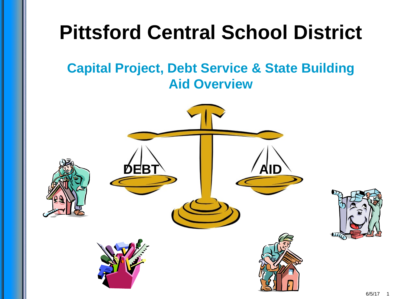

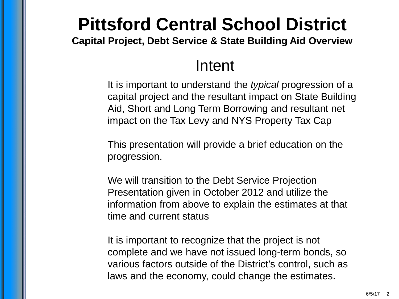**Capital Project, Debt Service & State Building Aid Overview**

#### Intent

It is important to understand the *typical* progression of a capital project and the resultant impact on State Building Aid, Short and Long Term Borrowing and resultant net impact on the Tax Levy and NYS Property Tax Cap

This presentation will provide a brief education on the progression.

We will transition to the Debt Service Projection Presentation given in October 2012 and utilize the information from above to explain the estimates at that time and current status

It is important to recognize that the project is not complete and we have not issued long-term bonds, so various factors outside of the District's control, such as laws and the economy, could change the estimates.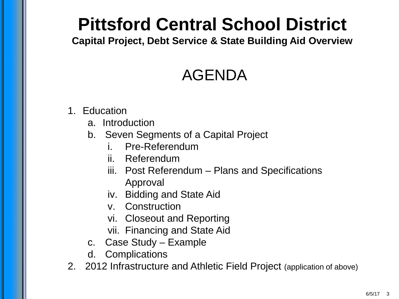**Capital Project, Debt Service & State Building Aid Overview**

### AGENDA

- 1. Education
	- a. Introduction
	- b. Seven Segments of a Capital Project
		- i. Pre-Referendum
		- ii. Referendum
		- iii. Post Referendum Plans and Specifications Approval
		- iv. Bidding and State Aid
		- v. Construction
		- vi. Closeout and Reporting
		- vii. Financing and State Aid
	- c. Case Study Example
	- d. Complications
- 2. 2012 Infrastructure and Athletic Field Project (application of above)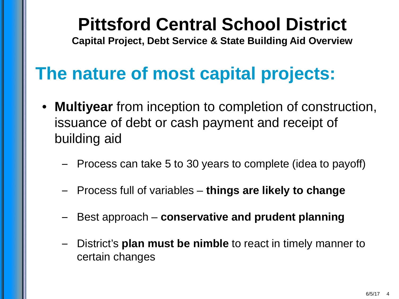**Capital Project, Debt Service & State Building Aid Overview**

### **The nature of most capital projects:**

- **Multiyear** from inception to completion of construction, issuance of debt or cash payment and receipt of building aid
	- Process can take 5 to 30 years to complete (idea to payoff)
	- Process full of variables **things are likely to change**
	- Best approach **conservative and prudent planning**
	- District's **plan must be nimble** to react in timely manner to certain changes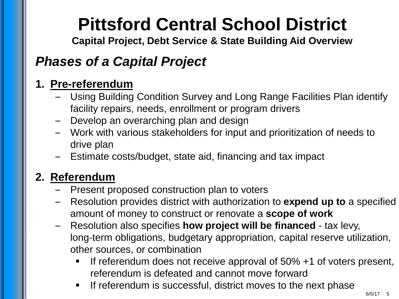**Capital Project, Debt Service & State Building Aid Overview**

#### *Phases of a Capital Project*

#### **1. Pre-referendum**

- Using Building Condition Survey and Long Range Facilities Plan identify facility repairs, needs, enrollment or program drivers
- Develop an overarching plan and design
- Work with various stakeholders for input and prioritization of needs to drive plan
- Estimate costs/budget, state aid, financing and tax impact

#### **2. Referendum**

- Present proposed construction plan to voters
- Resolution provides district with authorization to **expend up to** a specified amount of money to construct or renovate a **scope of work**
- Resolution also specifies **how project will be financed**  tax levy, long-term obligations, budgetary appropriation, capital reserve utilization, other sources, or combination
	- If referendum does not receive approval of 50% +1 of voters present, referendum is defeated and cannot move forward
	- **If referendum is successful, district moves to the next phase**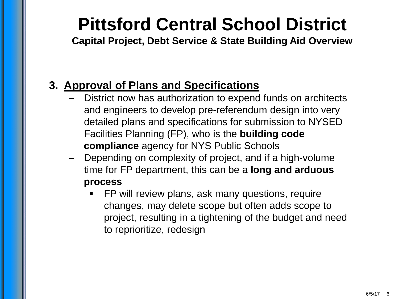**Capital Project, Debt Service & State Building Aid Overview**

#### **3. Approval of Plans and Specifications**

- District now has authorization to expend funds on architects and engineers to develop pre-referendum design into very detailed plans and specifications for submission to NYSED Facilities Planning (FP), who is the **building code compliance** agency for NYS Public Schools
- Depending on complexity of project, and if a high-volume time for FP department, this can be a **long and arduous process**
	- FP will review plans, ask many questions, require changes, may delete scope but often adds scope to project, resulting in a tightening of the budget and need to reprioritize, redesign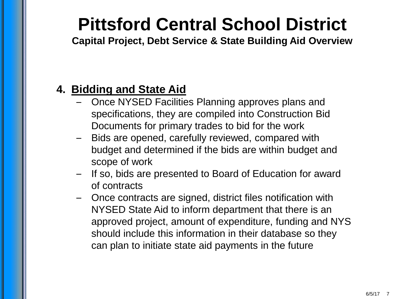**Capital Project, Debt Service & State Building Aid Overview**

#### **4. Bidding and State Aid**

- Once NYSED Facilities Planning approves plans and specifications, they are compiled into Construction Bid Documents for primary trades to bid for the work
- Bids are opened, carefully reviewed, compared with budget and determined if the bids are within budget and scope of work
- If so, bids are presented to Board of Education for award of contracts
- Once contracts are signed, district files notification with NYSED State Aid to inform department that there is an approved project, amount of expenditure, funding and NYS should include this information in their database so they can plan to initiate state aid payments in the future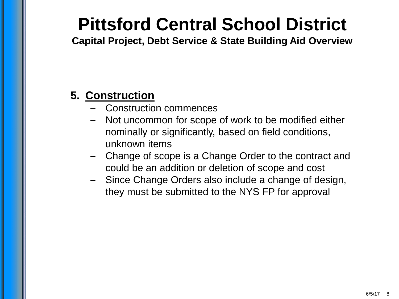**Capital Project, Debt Service & State Building Aid Overview**

#### **5. Construction**

- Construction commences
- Not uncommon for scope of work to be modified either nominally or significantly, based on field conditions, unknown items
- Change of scope is a Change Order to the contract and could be an addition or deletion of scope and cost
- Since Change Orders also include a change of design, they must be submitted to the NYS FP for approval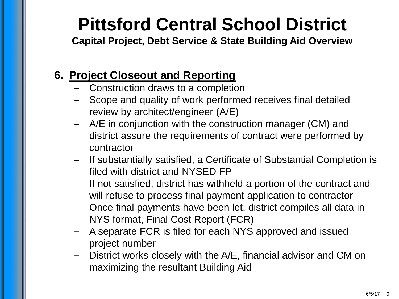**Capital Project, Debt Service & State Building Aid Overview**

#### **6. Project Closeout and Reporting**

- Construction draws to a completion
- Scope and quality of work performed receives final detailed review by architect/engineer (A/E)
- A/E in conjunction with the construction manager (CM) and district assure the requirements of contract were performed by contractor
- If substantially satisfied, a Certificate of Substantial Completion is filed with district and NYSED FP
- If not satisfied, district has withheld a portion of the contract and will refuse to process final payment application to contractor
- Once final payments have been let, district compiles all data in NYS format, Final Cost Report (FCR)
- A separate FCR is filed for each NYS approved and issued project number
- District works closely with the A/E, financial advisor and CM on maximizing the resultant Building Aid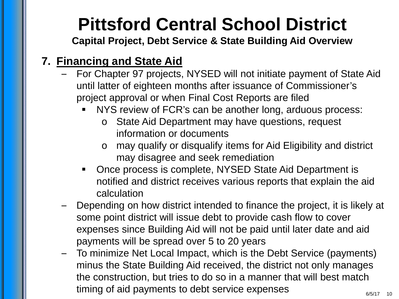**Capital Project, Debt Service & State Building Aid Overview**

#### **7. Financing and State Aid**

- For Chapter 97 projects, NYSED will not initiate payment of State Aid until latter of eighteen months after issuance of Commissioner's project approval or when Final Cost Reports are filed
	- NYS review of FCR's can be another long, arduous process:
		- o State Aid Department may have questions, request information or documents
		- o may qualify or disqualify items for Aid Eligibility and district may disagree and seek remediation
	- Once process is complete, NYSED State Aid Department is notified and district receives various reports that explain the aid calculation
- Depending on how district intended to finance the project, it is likely at some point district will issue debt to provide cash flow to cover expenses since Building Aid will not be paid until later date and aid payments will be spread over 5 to 20 years
- To minimize Net Local Impact, which is the Debt Service (payments) minus the State Building Aid received, the district not only manages the construction, but tries to do so in a manner that will best match timing of aid payments to debt service expenses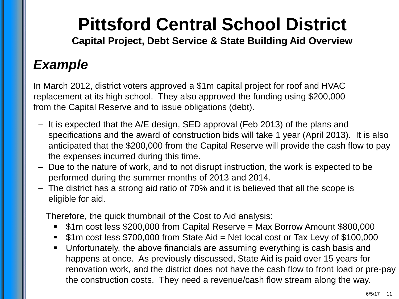**Capital Project, Debt Service & State Building Aid Overview**

### *Example*

In March 2012, district voters approved a \$1m capital project for roof and HVAC replacement at its high school. They also approved the funding using \$200,000 from the Capital Reserve and to issue obligations (debt).

- It is expected that the A/E design, SED approval (Feb 2013) of the plans and specifications and the award of construction bids will take 1 year (April 2013). It is also anticipated that the \$200,000 from the Capital Reserve will provide the cash flow to pay the expenses incurred during this time.
- Due to the nature of work, and to not disrupt instruction, the work is expected to be performed during the summer months of 2013 and 2014.
- The district has a strong aid ratio of 70% and it is believed that all the scope is eligible for aid.

Therefore, the quick thumbnail of the Cost to Aid analysis:

- \$1m cost less \$200,000 from Capital Reserve = Max Borrow Amount \$800,000
- \$1m cost less \$700,000 from State Aid = Net local cost or Tax Levy of \$100,000
- Unfortunately, the above financials are assuming everything is cash basis and happens at once. As previously discussed, State Aid is paid over 15 years for renovation work, and the district does not have the cash flow to front load or pre-pay the construction costs. They need a revenue/cash flow stream along the way.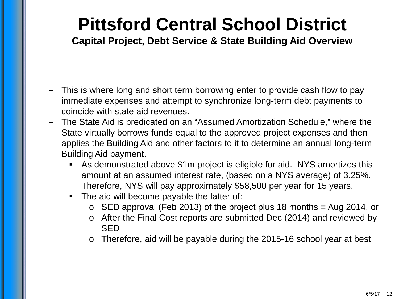- This is where long and short term borrowing enter to provide cash flow to pay immediate expenses and attempt to synchronize long-term debt payments to coincide with state aid revenues.
- The State Aid is predicated on an "Assumed Amortization Schedule," where the State virtually borrows funds equal to the approved project expenses and then applies the Building Aid and other factors to it to determine an annual long-term Building Aid payment.
	- As demonstrated above \$1m project is eligible for aid. NYS amortizes this amount at an assumed interest rate, (based on a NYS average) of 3.25%. Therefore, NYS will pay approximately \$58,500 per year for 15 years.
	- The aid will become payable the latter of:
		- $\circ$  SED approval (Feb 2013) of the project plus 18 months = Aug 2014, or
		- o After the Final Cost reports are submitted Dec (2014) and reviewed by SED
		- o Therefore, aid will be payable during the 2015-16 school year at best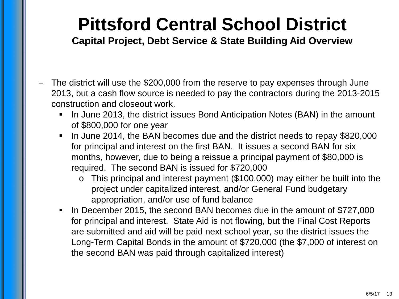- The district will use the \$200,000 from the reserve to pay expenses through June 2013, but a cash flow source is needed to pay the contractors during the 2013-2015 construction and closeout work.
	- **IF In June 2013, the district issues Bond Anticipation Notes (BAN) in the amount** of \$800,000 for one year
	- I In June 2014, the BAN becomes due and the district needs to repay \$820,000 for principal and interest on the first BAN. It issues a second BAN for six months, however, due to being a reissue a principal payment of \$80,000 is required. The second BAN is issued for \$720,000
		- o This principal and interest payment (\$100,000) may either be built into the project under capitalized interest, and/or General Fund budgetary appropriation, and/or use of fund balance
	- In December 2015, the second BAN becomes due in the amount of \$727,000 for principal and interest. State Aid is not flowing, but the Final Cost Reports are submitted and aid will be paid next school year, so the district issues the Long-Term Capital Bonds in the amount of \$720,000 (the \$7,000 of interest on the second BAN was paid through capitalized interest)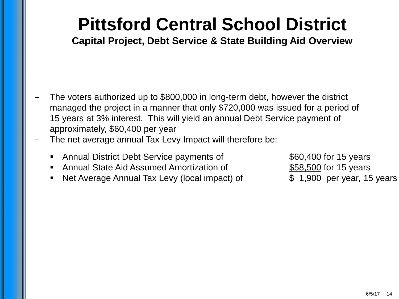- The voters authorized up to \$800,000 in long-term debt, however the district managed the project in a manner that only \$720,000 was issued for a period of 15 years at 3% interest. This will yield an annual Debt Service payment of approximately, \$60,400 per year
- The net average annual Tax Levy Impact will therefore be:
	- Annual District Debt Service payments of  $$60,400$  for 15 years
	- Annual State Aid Assumed Amortization of  $$58,500$  for 15 years
	- Net Average Annual Tax Levy (local impact) of  $\qquad \qquad$  \$ 1,900 per year, 15 years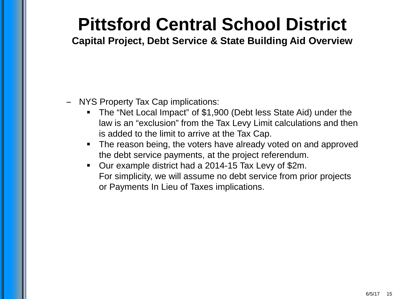- NYS Property Tax Cap implications:
	- The "Net Local Impact" of \$1,900 (Debt less State Aid) under the law is an "exclusion" from the Tax Levy Limit calculations and then is added to the limit to arrive at the Tax Cap.
	- The reason being, the voters have already voted on and approved the debt service payments, at the project referendum.
	- Our example district had a 2014-15 Tax Levy of \$2m. For simplicity, we will assume no debt service from prior projects or Payments In Lieu of Taxes implications.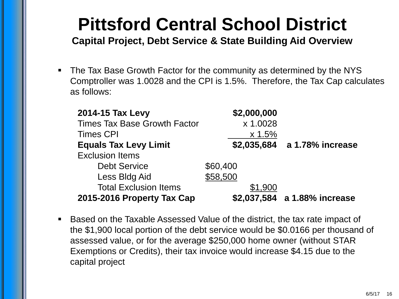**Capital Project, Debt Service & State Building Aid Overview**

• The Tax Base Growth Factor for the community as determined by the NYS Comptroller was 1.0028 and the CPI is 1.5%. Therefore, the Tax Cap calculates as follows:

| 2014-15 Tax Levy                    | \$2,000,000 |                              |
|-------------------------------------|-------------|------------------------------|
| <b>Times Tax Base Growth Factor</b> | x 1.0028    |                              |
| <b>Times CPI</b>                    | x 1.5%      |                              |
| <b>Equals Tax Levy Limit</b>        |             | \$2,035,684 a 1.78% increase |
| <b>Exclusion Items</b>              |             |                              |
| <b>Debt Service</b>                 | \$60,400    |                              |
| Less Bldg Aid                       | \$58,500    |                              |
| <b>Total Exclusion Items</b>        | \$1,900     |                              |
| 2015-2016 Property Tax Cap          |             | \$2,037,584 a 1.88% increase |

 Based on the Taxable Assessed Value of the district, the tax rate impact of the \$1,900 local portion of the debt service would be \$0.0166 per thousand of assessed value, or for the average \$250,000 home owner (without STAR Exemptions or Credits), their tax invoice would increase \$4.15 due to the capital project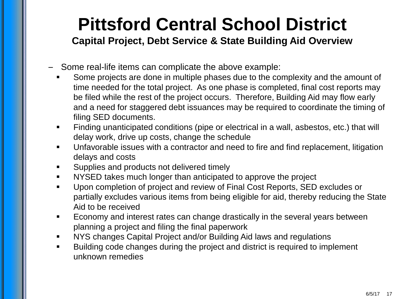- Some real-life items can complicate the above example:
	- Some projects are done in multiple phases due to the complexity and the amount of time needed for the total project. As one phase is completed, final cost reports may be filed while the rest of the project occurs. Therefore, Building Aid may flow early and a need for staggered debt issuances may be required to coordinate the timing of filing SED documents.
	- Finding unanticipated conditions (pipe or electrical in a wall, asbestos, etc.) that will delay work, drive up costs, change the schedule
	- Unfavorable issues with a contractor and need to fire and find replacement, litigation delays and costs
	- Supplies and products not delivered timely
	- NYSED takes much longer than anticipated to approve the project
	- Upon completion of project and review of Final Cost Reports, SED excludes or partially excludes various items from being eligible for aid, thereby reducing the State Aid to be received
	- Economy and interest rates can change drastically in the several years between planning a project and filing the final paperwork
	- NYS changes Capital Project and/or Building Aid laws and regulations
	- Building code changes during the project and district is required to implement unknown remedies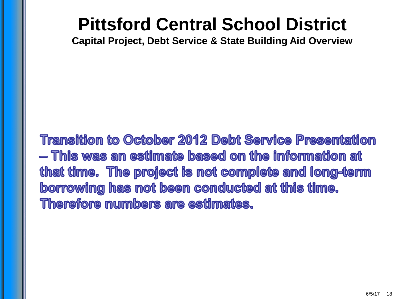**Capital Project, Debt Service & State Building Aid Overview**

**Transition to October 2012 Debt Service Presentation** — This was an estimate based on the information at that time. The project is not complete and long-term borrowing has not been conducted at this time. **Therefore numbers are estimates.**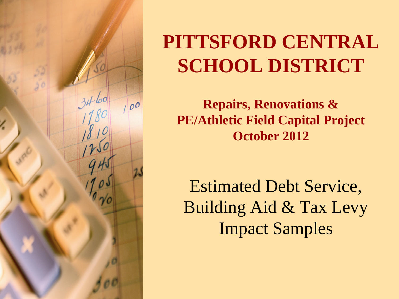

# **PITTSFORD CENTRAL SCHOOL DISTRICT**

**Repairs, Renovations & PE/Athletic Field Capital Project October 2012**

Estimated Debt Service, Building Aid & Tax Levy Impact Samples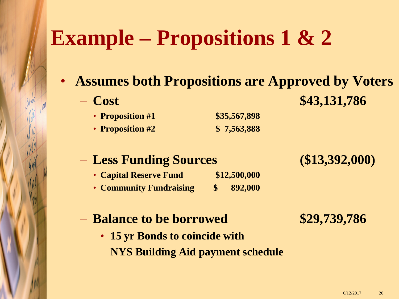# **Example – Propositions 1 & 2**

- **Assumes both Propositions are Approved by Voters**
	-

– **Cost \$43,131,786**

- **Proposition #1 \$35,567,898**
- **Proposition #2 \$ 7,563,888**

#### – **Less Funding Sources (\$13,392,000)**

- **Capital Reserve Fund \$12,500,000**
- **Community Fundraising \$ 892,000**

#### – **Balance to be borrowed \$29,739,786**

• **15 yr Bonds to coincide with NYS Building Aid payment schedule**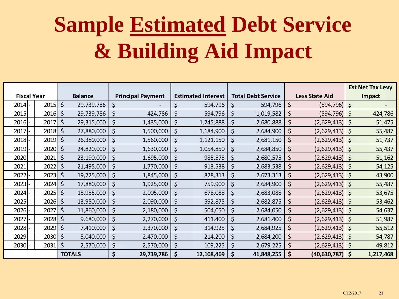# **Sample Estimated Debt Service & Building Aid Impact**

|          |                    |    |                |    |                          |    |                           |             |                           |             |                       |  | <b>Est Net Tax Levy</b> |  |
|----------|--------------------|----|----------------|----|--------------------------|----|---------------------------|-------------|---------------------------|-------------|-----------------------|--|-------------------------|--|
|          | <b>Fiscal Year</b> |    | <b>Balance</b> |    | <b>Principal Payment</b> |    | <b>Estimated Interest</b> |             | <b>Total Debt Service</b> |             | <b>Less State Aid</b> |  | Impact                  |  |
| $2014$ - | 2015               | \$ | 29,739,786     | \$ |                          | \$ | 594,796                   | \$          | 594,796                   | \$          | (594,796)   \$        |  |                         |  |
| 2015     | 2016               | \$ | 29,739,786     | \$ | 424,786                  | \$ | 594,796                   | $\zeta$     | 1,019,582                 | $\zeta$     | (594,796)   \$        |  | 424,786                 |  |
| $2016$ - | 2017               | \$ | 29,315,000     | \$ | 1,435,000                | \$ | 1,245,888                 | \$          | 2,680,888                 | $\zeta$     | $(2,629,413)$ \$      |  | 51,475                  |  |
| 2017     | 2018               | \$ | 27,880,000     | \$ | 1,500,000                | \$ | 1,184,900                 | $\varsigma$ | 2,684,900                 | \$          | $(2,629,413)$ \$      |  | 55,487                  |  |
| 2018     | 2019               | \$ | 26,380,000     | \$ | 1,560,000                | \$ | 1,121,150                 | \$          | 2,681,150                 | \$          | $(2,629,413)$ \$      |  | 51,737                  |  |
| $2019$ - | 2020               | \$ | 24,820,000     | \$ | 1,630,000                | \$ | 1,054,850                 | $\zeta$     | 2,684,850                 | $\zeta$     | $(2,629,413)$ \$      |  | 55,437                  |  |
| $2020$ - | 2021               | \$ | 23,190,000     | \$ | 1,695,000                | \$ | 985,575                   | \$          | 2,680,575                 | \$          | $(2,629,413)$ \$      |  | 51,162                  |  |
| 2021     | 2022               | \$ | 21,495,000     | \$ | 1,770,000                | \$ | 913,538                   | $\varsigma$ | 2,683,538                 | $\zeta$     | $(2,629,413)$ \$      |  | 54,125                  |  |
| 2022     | 2023               | \$ | 19,725,000     | \$ | 1,845,000                | \$ | 828,313                   | $\varsigma$ | 2,673,313                 | $\varsigma$ | $(2,629,413)$ \$      |  | 43,900                  |  |
| 2023     | 2024               | \$ | 17,880,000     | \$ | 1,925,000                | \$ | 759,900                   | $\varsigma$ | 2,684,900                 | $\varsigma$ | $(2,629,413)$ \$      |  | 55,487                  |  |
| $2024$ - | 2025               | \$ | 15,955,000     | \$ | 2,005,000                | \$ | 678,088                   | \$          | 2,683,088                 | \$          | $(2,629,413)$   \$    |  | 53,675                  |  |
| 2025     | 2026               | \$ | 13,950,000     | \$ | 2,090,000                | \$ | 592,875                   | $\varsigma$ | 2,682,875                 | \$          | $(2,629,413)$ \$      |  | 53,462                  |  |
| 2026     | 2027               | \$ | 11,860,000     | \$ | 2,180,000                | \$ | 504,050                   | \$          | 2,684,050                 | $\varsigma$ | $(2,629,413)$ \$      |  | 54,637                  |  |
| 2027     | 2028               | \$ | 9,680,000      | \$ | 2,270,000                | \$ | 411,400                   | $\varsigma$ | 2,681,400                 | \$          | $(2,629,413)$ \$      |  | 51,987                  |  |
| 2028     | 2029               | \$ | 7,410,000      | \$ | 2,370,000                | \$ | 314,925                   | \$          | 2,684,925                 | \$          | $(2,629,413)$ \$      |  | 55,512                  |  |
| 2029     | 2030               | \$ | 5,040,000      | \$ | 2,470,000                | \$ | 214,200                   | $\varsigma$ | 2,684,200                 | \$          | $(2,629,413)$ \$      |  | 54,787                  |  |
| $2030$ - | 2031               | \$ | 2,570,000      | \$ | 2,570,000                | \$ | 109,225                   | \$          | 2,679,225                 | $\varsigma$ | $(2,629,413)$ \$      |  | 49,812                  |  |
|          |                    |    | <b>TOTALS</b>  | \$ | 29,739,786               | \$ | 12,108,469                | \$          | 41,848,255                | \$          | $(40,630,787)$   \$   |  | 1,217,468               |  |